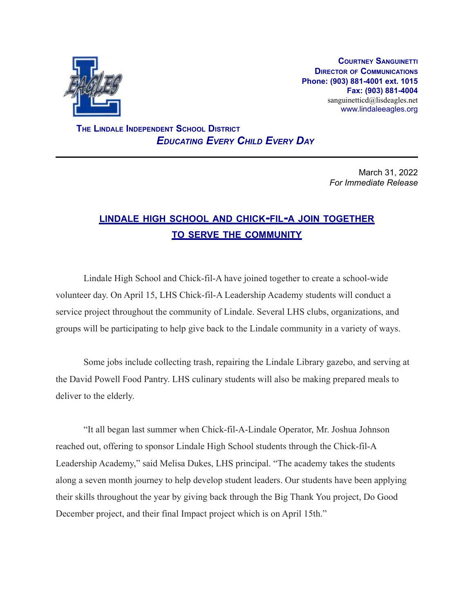

**COURTNEY SANGUINETTI DIRECTOR OF COMMUNICATIONS Phone: (903) 881-4001 ext. 1015 Fax: (903) 881-4004** sanguinetticd@lisdeagles.net www.lindaleeagles.org

**THE LINDALE INDEPENDENT SCHOOL DISTRICT** *EDUCATING EVERY CHILD EVERY DAY*

> March 31, 2022 *For Immediate Release*

## **LINDALE HIGH SCHOOL AND CHICK-FIL-<sup>A</sup> JOIN TOGETHER TO SERVE THE COMMUNITY**

Lindale High School and Chick-fil-A have joined together to create a school-wide volunteer day. On April 15, LHS Chick-fil-A Leadership Academy students will conduct a service project throughout the community of Lindale. Several LHS clubs, organizations, and groups will be participating to help give back to the Lindale community in a variety of ways.

Some jobs include collecting trash, repairing the Lindale Library gazebo, and serving at the David Powell Food Pantry. LHS culinary students will also be making prepared meals to deliver to the elderly.

"It all began last summer when Chick-fil-A-Lindale Operator, Mr. Joshua Johnson reached out, offering to sponsor Lindale High School students through the Chick-fil-A Leadership Academy," said Melisa Dukes, LHS principal. "The academy takes the students along a seven month journey to help develop student leaders. Our students have been applying their skills throughout the year by giving back through the Big Thank You project, Do Good December project, and their final Impact project which is on April 15th."